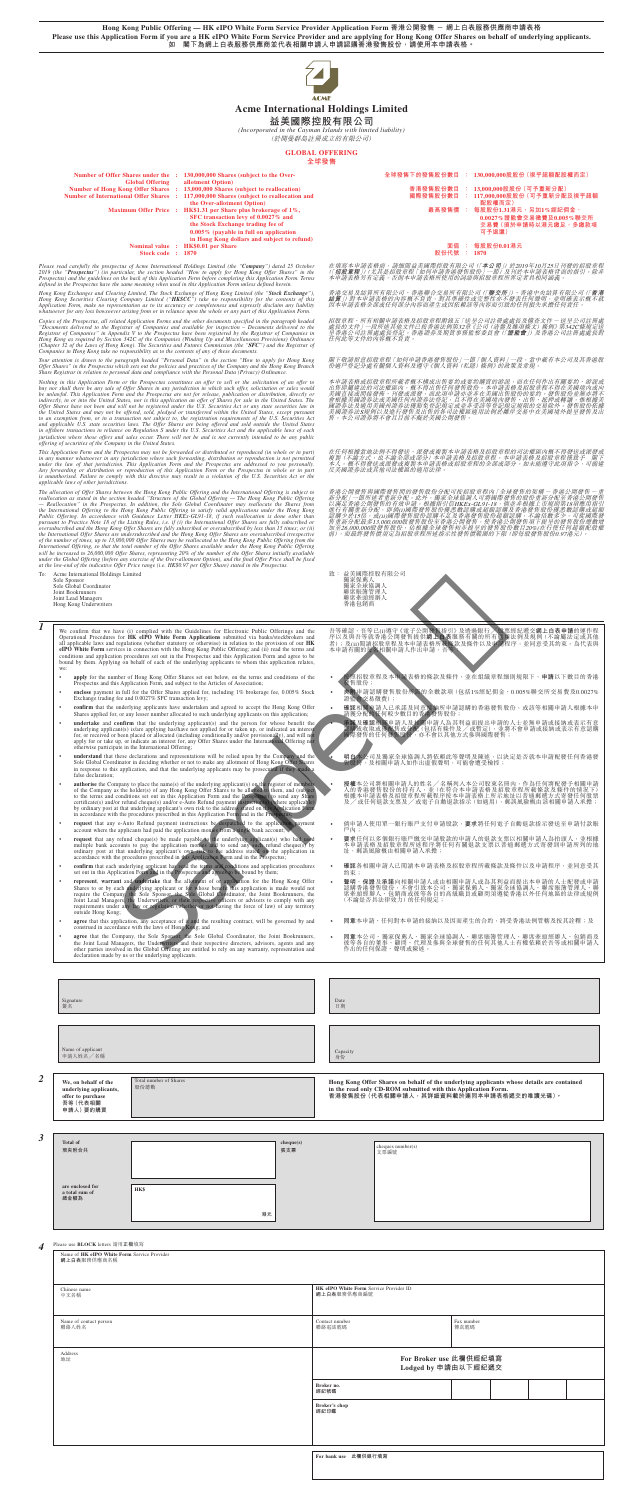**Hong Kong Public Offering — HK eIPO White Form Service Provider Application Form 香港公開發售 - 網上白表服務供應商申請表格 Please use this Application Form if you are a HK eIPO White Form Service Provider and are applying for Hong Kong Offer Shares on behalf of underlying applicants. 如 閣下為網上白表服務供應商並代表相關申請人申請認購香港發售股份,請使用本申請表格。**



# **Acme International Holdings Limited**

# **益美國際控股有限公司**

*(Incorporated in the Cayman Islands with limited liability)*

(於開曼群島註冊成立的有限公司)

### **GLOBAL OFFERING 全球發售**

**全球發售下的發售股份數目 : 130,000,000股股份(視乎超額配股權而定)**

**Number of Offer Shares under the : 130,000,000 Shares (subject to the Over-Global Offering**<br> **Number of Hong Kong Offer Shares allotment Option)**  $\begin{array}{lll} \textbf{Number of Hong Kong Offer Shares} & \textbf{13,000,000 Shares} \textbf{(subject to reallocation)} & \textbf{64} & \textbf{75} & \textbf{85} \\ \textbf{Number of International Offer Shares} & \textbf{17,000,000 Shares} \textbf{(subject to reallocation and log? & \textbf{18,000}} & \textbf{19,000} & \textbf{19,000} & \textbf{19,000} & \textbf{19,000} & \textbf{19,000} \\ \textbf{19,000} & \textbf{19,000} & \textbf{19,$ **117,000,000 Shares** (subject to reallocation and **the Over-allotment Option)**

**Maximum Offer Price : HK\$1.31 per Share plus brokerage of 1%, SFC transaction levy of 0.0027% and the Stock Exchange trading fee of 0.005% (payable in full on application in Hong Kong dollars and subject to refund)**

 $Stock code : 1870$ 

Please read carefully the prospectus of Acme International Holdings Limited (the "**Company**") dated 25 October<br>2019 (the "**Prospectus**") (in particular, the section headed "How to apply for Hong Kong Offer Shares" in the<br>P

Hong Kong Exchanges and Clearing Limited, The Stock Exchange of Hong Kong Limited (the "**Stock Exchange**"),<br>Hong Kong Securities Clearing Company Limited ("**HKSCC**") take no responsibility for the contents of this<br>Applicat

Copies of the Prospectus, all related Application Forms and the other documents specified in the paragraph headed<br>"Documents delivered to the Registrar of Companies and available for inspection – Documents delivered to the

Your attention is drawn to the paragraph headed "Personal Data" in the section "How to apply for Hong Kong<br>Offer Shares" in the Prospectus which sets out the policies and practices of the Company and the Hong Kong Branch<br>S

Nothing in this Application Form or the Prospectus constitutes an offer to sell or the solicitation of an offer<br>buy nor shall there be any sale of Offer Shares in any jurisdiction in which such offer, solicitation or sales

- **國際發售股份數目 : 117,000,000股股份(可予重新分配及視乎超額 配股權而定) 最高發售價 : 每股股份1.31港元,另加1%經紀佣金、 0.0027%證監會交易徵費及0.005%聯交所**
	- **交易費(須於申請時以港元繳足,多繳款項 可予退還)**
- **Nominal value : HK\$0.01 per Share 面值 : 每股股份0.01港元**

在填寫本申請表格前,請細関益美國際控股有限公司(「**本公司**」) 於2019年10月25日刊發的招股章程<br>(「招股章程」)(尤其是招股章程「如何申請香港發售股份」一節)及刊於本申請表格背面的指引。除非<br>本申請表格另有定義,否則本申請表格所使用的詞語與招股章程所界定者具相同涵義。

香港交易及結算所有限公司(「**聯交所」**)、香港中央結算有限公司(「**香港**<br>緒算」)對本申請表格的內容概不負責,對其準確性或完整性亦不發表任何聲明,並明確表示概不就<br>因本申請表格全部或任何部分內容而產生或因依賴該等內容而引致的任何損失承擔任何責任。

招股章程、所有相關申請表格及招股章程附錄五「送呈公司註冊處處長及備查文件 – 送呈公司註冊處<br>處長的文件」一段所述其他文件已按香港法例第32章《公司 (清盤及雜項條文) 條例) 第342C條規定送<br>呈香港公司註冊處處長登記 ~ 香港證券及期貨事務監察委員會 (「**證監會**」) 及香港公司註冊處處長對

閣下敬請留意招股章程「如何申請香港發售股份」一節「個人資料」一段,當中載有本公司及其香港股<br>份過戶登記分處有關個人資料及遵守《個人資料 (私隱) 條例》 的政策及常規。

本中請表格或招股資程所載者概不構成出售要釣或要約購買的游說,而在任何作出有關要約、游說或有用量的最後法的司法權區內,概不得出售任何發生在未確認力量是被程度程序程序是同意是同意的。我的可以成功的可能是我國達成或所以的可能是我國達成或所不要的最後的。我們的是我的要約。發售股份並無亦將不要關目接受的未來的。我們的是我的要約,而此項中請亦並非在美國出售股份的要約。發售股份並無亦將不可能接受到及出現的交易除外。發售股份依據<br>全國直接或關語未來提供的

This Application Form and the Prospectus may not be forwarded or distributed or reproduced (in whole or in part)<br>in any manner whatsoever in any jurisdiction where such forwarding, distribution or reproduction is not permi *applicable laws of other jurisdictions.*

The allocation of Offer Shares between the Hong Kong Public Offering and the International Offering is subject to reallocation as stated in the scetion headed "Structure of the Global Offering — The Hong Kong Public Offer

- **apply** for the number of Hong Kong Offer Shares set out below, on the terms and conditions of the Prospectus and this Application Form, and subject to the Articles of Association;
- **enclose** payment in full for the Offer Shares applied for, including 1% brokerage fee, 0.005% Stock Exchange trading fee and 0.0027% SFC transaction levy;
- **confirm** that the underlying applicants have undertaken and agreed to accept the Hong Kong Offer Shares applied for, or any lesser number allocated to such underlying applicants on this application;
- **under trake and confirm that the underlying applicant(s) and the person for whose benefit the underlying applicant(s) is/are applying has/have not applied for or taken up, or indicated an interest for, or received or been**
- **• understand** that these declarations and representations will be relied upon by the Company and the Sole Global Coordinator in deciding whether or not to make any allotment of Hong Kong Olive Shares in response to this
- **• authorise** the Company to place the name(s) of the underlying applicant(s) on the *register* of the Company as the holder(s) of any Horg Kong Offer Shares to be allotted to the terms and conditions set out in this
- **request** that any e-Auto Refund payment instructions be despatched to the application payment account where the applicants had paid the application monies from a single bank account;
- request that any refund cheque(s) be made payable to the underlying applicant(s) who had used<br>multiple bank accounts to pay the application monies and to send any such refund cheque(s) by<br>ordinary post at that underlying
- **• confirm** that each underlying applicant has read the terms and conditions and application procedures set out in this Application Form and in the Prospectus and agrees to be bound by them;
- **represent, warrant and underlake** that the allotment of or application for the Hong Kong Offer<br>Shares to or by each underlying applicant or for whose benefit this application is made would not<br>require the Company the So
- 按照招股章程及本申請表格的條款及條件,並在組織章程細則規限下,**申請**以下數目的香港 發售股份;
- **夾附**申請認購發售股份所需的全數款項(包括1%經紀佣金、0.005%聯交所交易費及0.0027% 證監會交易徵費);
- 確認相關申請人已承諾及同意接納所申請認購的香港發售股份,或該等相關申請人根據本申<br>| 請獲分配的任何較少數目的香港發售股份;
- 承諾及確認相關申請人及相關申請人為其利益而提出申請的人士並無申請或接納或表示有意<br>◇ 機構或收取或獲配售或分配(包括有條件及/或暫定)、並將不會申請或接納或表示有意認購<br>|<sub>|</sub> 國際發售的任何發售股份,亦不會以其他方式參與國際發售;

To: Acme International Holdings Limited Sole Sponsor Sole Global Coordinator Joint Bookrunners

- ◆ 授權本公司將相關申請人的姓名/名稱列入本公司股東名冊內,作為任何將配發予相關申請<br>人的香港發售股份的持有人,並(在符合本申請表格及招股章程所戴條款及條件的情況下)<br>根據本申請表格及招股章程所載程序按本申請表格上所示地址以普通郵遞方式寄發任何限票<br>及/或任何退款支票及/或電子自動退款指示(如適用),郵誤風險概由該相關申請人承擔;
- 倘申請人使用單一銀行賬戶支付申請股款,**要求**將任何電子自動退款指示發送至申請付款賬 戶內;
- 要求任何以多個銀行賬戶繳交申請股款的申請人的退款支票以相關申請人為抬頭人,並根據<br>本申請表格及招股章程所述程序將任何有關退款支票以普通郵遞方式寄發到申請所列的地<br>址,,郵誤風險概由相關申請人承擔;
- **確認**各相關申請人已閱讀本申請表格及招股章程所載條款及條件以及申請程序,並同意受其 約束;
- 聲明、保證及承諾向相關申請人或由相關申請人或為其利益而提出本申請的人士配發或申請<br>認購香港發售股份,不會引致本公司、獨家保薦人、獨家全球協調人、聯席賬簿管理人、聯<br>席牽頭經辦人、包銷商或彼等各自的高級職員或顧問須遵從香港以外任何地區的法律或規例<br>(不論是否具法律效力)的任何規定;

| JOIIR DOONRHIICIS<br>Joint Lead Managers<br>Hong Kong Underwriters                                                                                                                                                                                                                                                                                                                                                                                                                                                                                                                                                                                                                                                                                                                                                                                                                                                                                                                                                                                                                                                                                                                                                                                                                                                                                                                                                                                                                                                                                                                                                                                                                                                                                                                                                                                                                                                                                                                                                                                                                                                                                                                                                                                                                                                                                                                                                                                                                                                                                                                                                                                                                                                                                                                                                                                                                                                                                                                                                                                                                                                                                      | 州川川 外く代子 日 ノ土ノ<br>聯席牽頭經辦人<br>香港包銷商                                                                                                                                                                                                                                                                                                                                                                                                                                                                                                                                                                                                                                                                                                                                                                                                                                                                                                                                                                                 |
|---------------------------------------------------------------------------------------------------------------------------------------------------------------------------------------------------------------------------------------------------------------------------------------------------------------------------------------------------------------------------------------------------------------------------------------------------------------------------------------------------------------------------------------------------------------------------------------------------------------------------------------------------------------------------------------------------------------------------------------------------------------------------------------------------------------------------------------------------------------------------------------------------------------------------------------------------------------------------------------------------------------------------------------------------------------------------------------------------------------------------------------------------------------------------------------------------------------------------------------------------------------------------------------------------------------------------------------------------------------------------------------------------------------------------------------------------------------------------------------------------------------------------------------------------------------------------------------------------------------------------------------------------------------------------------------------------------------------------------------------------------------------------------------------------------------------------------------------------------------------------------------------------------------------------------------------------------------------------------------------------------------------------------------------------------------------------------------------------------------------------------------------------------------------------------------------------------------------------------------------------------------------------------------------------------------------------------------------------------------------------------------------------------------------------------------------------------------------------------------------------------------------------------------------------------------------------------------------------------------------------------------------------------------------------------------------------------------------------------------------------------------------------------------------------------------------------------------------------------------------------------------------------------------------------------------------------------------------------------------------------------------------------------------------------------------------------------------------------------------------------------------------------------|--------------------------------------------------------------------------------------------------------------------------------------------------------------------------------------------------------------------------------------------------------------------------------------------------------------------------------------------------------------------------------------------------------------------------------------------------------------------------------------------------------------------------------------------------------------------------------------------------------------------------------------------------------------------------------------------------------------------------------------------------------------------------------------------------------------------------------------------------------------------------------------------------------------------------------------------------------------------------------------------------------------------|
| 1<br>We confirm that we have (i) complied with the Guidelines for Electronic Public Offerings and the<br>Operational Procedures for HK eIPO White Form Applications submitted via banks/stockbrokers and<br>all applicable laws and regulations (whether statutory or otherwise) in relation to the provision of our HK<br>eIPO White Form services in connection with the Hong Kong Public Offering; and (ii) read the terms and<br>conditions and application procedures set out in the Prospectus and this Application Form and agree to be<br>bound by them. Applying on behalf of each of the underlying applicants to whom this application relates,<br>we:                                                                                                                                                                                                                                                                                                                                                                                                                                                                                                                                                                                                                                                                                                                                                                                                                                                                                                                                                                                                                                                                                                                                                                                                                                                                                                                                                                                                                                                                                                                                                                                                                                                                                                                                                                                                                                                                                                                                                                                                                                                                                                                                                                                                                                                                                                                                                                                                                                                                                       | 吾等確認,吾等已(i)遵守《電子公開發售指引》及透過銀行/股票經紀遞交 <b>網上白表申請</b> 的運作程<br>序以及與吾等就香港公開發售提供 <b>網上白表</b> 服務有關的所有適用法例及規例(不論屬法定或其他<br>者);及(ii)閲讀招股章程及本申請表格所載條款及條件以及申請程序,並同意受其約束。為代表與<br>本申請有關的每名相關申請人作出申請,吾等:                                                                                                                                                                                                                                                                                                                                                                                                                                                                                                                                                                                                                                                                                                                                                                                                                           |
| apply for the number of Hong Kong Offer Shares set out below, on the terms and conditions of the<br>Prospectus and this Application Form, and subject to the Articles of Association;<br>enclose payment in full for the Offer Shares applied for, including 1% brokerage fee, 0.005% Stock<br>$\bullet$<br>Exchange trading fee and 0.0027% SFC transaction levy;<br>confirm that the underlying applicants have undertaken and agreed to accept the Hong Kong Offer<br>Shares applied for, or any lesser number allocated to such underlying applicants on this application;<br>undertake and confirm that the underlying applicant(s) and the person for whose benefit the<br>$\bullet$<br>underlying applicant(s) is/are applying has/have not applied for or taken up, or indicated an interest<br>for, or received or been placed or allocated (including conditionally and/or provisionally), and will not<br>apply for or take up, or indicate an interest for, any Offer Shares under the International Offering nor<br>otherwise participate in the International Offering;<br>understand that these declarations and representations will be relied upon by the Company and the<br>Sole Global Coordinator in deciding whether or not to make any allotment of Hong Kong Offer Shares<br>in response to this application, and that the underlying applicants may be prosecuted if they made a<br>false declaration;<br>authorise the Company to place the name(s) of the underlying applicant(s) on the register of members<br>and the Company as the holder(s) of any Hong Kong Offer Shares to be allotted to them, and (subject of the Company as the holder(s) of any Hong Kong Offer Shares to be allotted to the nerms and conditions set out in this A<br>by ordinary post at that underlying applicant's own risk to the address stated on this Application Form<br>in accordance with the procedures prescribed in this Application Form and in the Prospectus;<br>request that any e-Auto Refund payment instructions be despatched to the application payment<br>account where the applicants had paid the application monies from a single bank account;<br>request that any refund cheque(s) be made payable to the underlying applicant(s) who had used multiple bank accounts to pay the application monies and to send any such refund cheque(s) by<br>ordinary post at that underlying applicant's own risk to the address stated on the application in<br>accordance with the procedures prescribed in this Application Form and in the Prospectus;<br>confirm that each underlying applicant has read the terms and conditions and application procedures<br>set out in this Application Form and in the Prospectus and agrees to be bound by them;<br>represent, warrant and <b>undertake</b> that the allotment of or application for the Hong Kong Offer Shares to or by each underlying applicant or for whose benefit this application is made would not require the Company the Sole<br>outside Hong Kong;<br>agree that this application, any acceptance of it and the resulting contract, will be governed by and | 按照招股章程及本申請表格的條款及條件,並在組織章程細則規限下,申請以下數目的香港<br>發售股份;<br>夾附申請認購發售股份所需的全數款項(包括1%經紀佣金、0.005%聯交所交易費及0.0027%<br>證監會交易徵費);<br>確認相關申請人已承諾及同意接納所申請認購的香港發售股份,或該等相關申請人根據本申<br>請獲分配的任何較少數目的香港發售股份;<br>承諾及確認相關申請人及相關申請人為其利益而提出申請的人士並無申請或接納或表示有意<br>▓購或收取或獲配售或分配 (包括有條件及/或暫定),並將不會申請或接納或表示有意認購<br>國際發售的任何發售股份,亦不會以其他方式參與國際發售;<br>明白本公司及獨家全球協調人將依賴此等聲明及陳述,以決定是否就本申請配發任何香港發<br>售股份,及相關申請人如作出虛假聲明,可能會遭受檢控;<br><b>授權</b> 本公司將相關申請人的姓名 /名稱列入本公司股東名冊內,作為任何將配發予相關申請<br>人的香港發售股份的持有人、並 (在符合本申請表格及招股章程所載條款及條件的情況下)<br>根據本申請表格及招股章程所載程序按本申請表格上所示地址以普通郵鑑方式寄發任何股票<br>及/或任何退款支票及/或電子自動退款指示(如適用),郵誤風險概由該相關申請人承擔;<br>倘申請人使用單一銀行賬戶支付申請股款, <b>要求</b> 將任何電子自動退款指示發送至申請付款賬<br>戶內;<br>要求任何以多個銀行賬戶繳交申請股款的申請人的退款支票以相關申請人為抬頭人,並根據<br>本申請表格及招股章程所述程序將任何有關退款支票以普通郵遞方式寄發到申請所列的地<br>址,郵誤風險概由相關申請人承擔;<br>確認各相關申請人已閲讀本申請表格及招股章程所載條款及條件以及申請程序,並同意受其<br>約束;<br>聲明、保證及承諾向相關申請人或由相關申請人或為其利益而提出本申請的人士配發或申請<br>該購香港發售股份,不會引致本公司、獨家保薦人、獨家至球協調人、聯席賬簿管理人、聯<br>席牽頭經辦人、包銷商或彼等各自的高級職員或顧問須遵從香港以外任何地區的法律或規例<br>(不論是否具法律效力) 的任何規定;<br>同意本申請、任何對本申請的接納以及因而產生的合約,將受香港法例管轄及按其詮釋;及 |
| construed in accordance with the laws of Hong Kong; and<br>agree that the Company, the Sole Sponsor, the Sole Global Coordinator, the Joint Bookrunners,<br>the Joint Lead Managers, the Underwriters and their respective directors, advisors, agents and any<br>other parties involved in the Global Offering are entitled to rely on any warranty, representation and<br>declaration made by us or the underlying applicants.                                                                                                                                                                                                                                                                                                                                                                                                                                                                                                                                                                                                                                                                                                                                                                                                                                                                                                                                                                                                                                                                                                                                                                                                                                                                                                                                                                                                                                                                                                                                                                                                                                                                                                                                                                                                                                                                                                                                                                                                                                                                                                                                                                                                                                                                                                                                                                                                                                                                                                                                                                                                                                                                                                                        | 同意本公司、獨家保薦人、獨家全球協調人、聯席賬簿管理人、聯席牽頭經辦人、包銷商及<br>彼等各自的董事、顧問、代理及參與全球發售的任何其他人士有權依賴於吾等或相關申請人<br>作出的任何保證、聲明或陳述。                                                                                                                                                                                                                                                                                                                                                                                                                                                                                                                                                                                                                                                                                                                                                                                                                                                                                                             |
| Signature<br>簽名<br>Name of applicant<br>申請人姓名/名稱                                                                                                                                                                                                                                                                                                                                                                                                                                                                                                                                                                                                                                                                                                                                                                                                                                                                                                                                                                                                                                                                                                                                                                                                                                                                                                                                                                                                                                                                                                                                                                                                                                                                                                                                                                                                                                                                                                                                                                                                                                                                                                                                                                                                                                                                                                                                                                                                                                                                                                                                                                                                                                                                                                                                                                                                                                                                                                                                                                                                                                                                                                        | Date<br>日期<br>Capacity<br>身份                                                                                                                                                                                                                                                                                                                                                                                                                                                                                                                                                                                                                                                                                                                                                                                                                                                                                                                                                                                       |
| $\overline{\mathbf{c}}$<br>Total number of Shares<br>We, on behalf of the<br>股份總數<br>underlying applicants,<br>offer to purchase<br>吾等(代表相關<br>申請人) 要約購買                                                                                                                                                                                                                                                                                                                                                                                                                                                                                                                                                                                                                                                                                                                                                                                                                                                                                                                                                                                                                                                                                                                                                                                                                                                                                                                                                                                                                                                                                                                                                                                                                                                                                                                                                                                                                                                                                                                                                                                                                                                                                                                                                                                                                                                                                                                                                                                                                                                                                                                                                                                                                                                                                                                                                                                                                                                                                                                                                                                                | Hong Kong Offer Shares on behalf of the underlying applicants whose details are contained<br>in the read only CD-ROM submitted with this Application Form.<br>香港發售股份 (代表相關申請人,其詳細資料載於連同本申請表格遞交的唯讀光碟)。                                                                                                                                                                                                                                                                                                                                                                                                                                                                                                                                                                                                                                                                                                                                                                                                              |
| 3<br><b>Total of</b><br>現夾附合共                                                                                                                                                                                                                                                                                                                                                                                                                                                                                                                                                                                                                                                                                                                                                                                                                                                                                                                                                                                                                                                                                                                                                                                                                                                                                                                                                                                                                                                                                                                                                                                                                                                                                                                                                                                                                                                                                                                                                                                                                                                                                                                                                                                                                                                                                                                                                                                                                                                                                                                                                                                                                                                                                                                                                                                                                                                                                                                                                                                                                                                                                                                           | cheque(s)<br>cheques number(s)<br>張支票<br>支票編號                                                                                                                                                                                                                                                                                                                                                                                                                                                                                                                                                                                                                                                                                                                                                                                                                                                                                                                                                                      |

在任何根據當地法例不得發送、派發或複製本申請表格及招股章程的司法權區內概不得發送或派發或 複製(不論方式,也不論全部或部分)本申請表格及招股章程。本申請表格及招股章程僅致予 閣下 本人。概不得發送或派發或複製本申請表格或招股章程的全部或部分。如未能遵守此項指令,可能違 反美國證券法或其他司法權區的適用法律。

香港公開發售與國際發售開的發售股份分配可按招股章程內「全球發售的架権一香港公開發售中國公開」一節所述者重新分配,並使指導的整備及2011-18 %,以前是在被選出所提供的公司的提供。<br>20満足香港公開發售的有效申請。根據指引信HKEx-GL91-18,倘並非根據上市規則第18項應用指引<br>20満足香港公開發售的有效申請。根據指引信HKEx-GL91-18,倘並非根據上市規則第18項應用指引<br>認識少於15倍,或GD國際發售股份認購不足及香港發

致:益美國際控股有限公司<br>獨豪保康馬灣理人<br>獨家保康馬灣理人<br>聯席席靈經辦人<br>蒂诺包銷商

**are enclosed for a total sum of 總金額為**

**HK\$**

**港元**

| $\boldsymbol{\varDelta}$ | Please use <b>BLOCK</b> letters 請用正楷填寫 |  |
|--------------------------|----------------------------------------|--|

| Name of HK eIPO White Form Service Provider<br>網上白表服務供應商名稱 |                                                       |  |
|------------------------------------------------------------|-------------------------------------------------------|--|
| Chinese name<br>中文名稱                                       | HK eIPO White Form Service Provider ID<br>網上白表服務供應商編號 |  |
| Name of contact person<br>聯絡人姓名                            | Fax number<br>Contact number<br>聯絡電話號碼<br>傳真號碼        |  |
| Address<br>地址                                              | For Broker use 此欄供經紀填寫<br>Lodged by 申請由以下經紀遞交         |  |
|                                                            | Broker no.<br>經紀號碼                                    |  |
|                                                            | Broker's chop<br>經紀印鑑                                 |  |
|                                                            | For bank use 此欄供銀行填寫                                  |  |